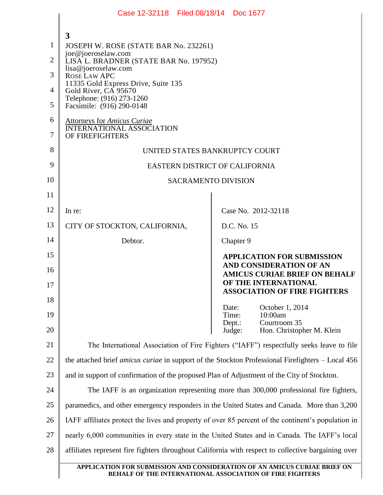|                | Case 12-32118 Filed 08/18/14 Doc 1677                                                                    |                                                                                                |  |  |
|----------------|----------------------------------------------------------------------------------------------------------|------------------------------------------------------------------------------------------------|--|--|
|                |                                                                                                          |                                                                                                |  |  |
| 1              | 3                                                                                                        |                                                                                                |  |  |
| $\overline{2}$ | JOSEPH W. ROSE (STATE BAR No. 232261)<br>joe@joeroselaw.com                                              |                                                                                                |  |  |
|                | LISA L. BRADNER (STATE BAR No. 197952)<br>lisa@joeroselaw.com                                            |                                                                                                |  |  |
| 3              | <b>ROSE LAW APC</b><br>11335 Gold Express Drive, Suite 135                                               |                                                                                                |  |  |
| 4              | Gold River, CA 95670<br>Telephone: (916) 273-1260                                                        |                                                                                                |  |  |
| 5              | Facsimile: (916) 290-0148                                                                                |                                                                                                |  |  |
| 6<br>7         | <b>Attorneys for Amicus Curiae</b><br><b>INTERNATIONAL ASSOCIATION</b><br>OF FIREFIGHTERS                |                                                                                                |  |  |
| 8              | UNITED STATES BANKRUPTCY COURT                                                                           |                                                                                                |  |  |
| 9              | EASTERN DISTRICT OF CALIFORNIA                                                                           |                                                                                                |  |  |
| 10             | <b>SACRAMENTO DIVISION</b>                                                                               |                                                                                                |  |  |
| 11             |                                                                                                          |                                                                                                |  |  |
| 12             | In re:                                                                                                   | Case No. 2012-32118                                                                            |  |  |
| 13             | CITY OF STOCKTON, CALIFORNIA,                                                                            | D.C. No. 15                                                                                    |  |  |
| 14             | Debtor.                                                                                                  | Chapter 9                                                                                      |  |  |
| 15             |                                                                                                          | <b>APPLICATION FOR SUBMISSION</b>                                                              |  |  |
| 16<br>17       |                                                                                                          | <b>AND CONSIDERATION OF AN</b><br><b>AMICUS CURIAE BRIEF ON BEHALF</b><br>OF THE INTERNATIONAL |  |  |
| 18             |                                                                                                          | <b>ASSOCIATION OF FIRE FIGHTERS</b>                                                            |  |  |
| 19             |                                                                                                          | October 1, 2014<br>Date:<br>Time:<br>10:00am                                                   |  |  |
| 20             |                                                                                                          | Courtroom 35<br>Depth:<br>Hon. Christopher M. Klein<br>Judge:                                  |  |  |
| 21             | The International Association of Fire Fighters ("IAFF") respectfully seeks leave to file                 |                                                                                                |  |  |
| 22             | the attached brief <i>amicus curiae</i> in support of the Stockton Professional Firefighters – Local 456 |                                                                                                |  |  |
| 23             | and in support of confirmation of the proposed Plan of Adjustment of the City of Stockton.               |                                                                                                |  |  |
| 24             | The IAFF is an organization representing more than 300,000 professional fire fighters,                   |                                                                                                |  |  |
| 25             | paramedics, and other emergency responders in the United States and Canada. More than 3,200              |                                                                                                |  |  |
| 26             | IAFF affiliates protect the lives and property of over 85 percent of the continent's population in       |                                                                                                |  |  |
| 27             | nearly 6,000 communities in every state in the United States and in Canada. The IAFF's local             |                                                                                                |  |  |
| 28             | affiliates represent fire fighters throughout California with respect to collective bargaining over      |                                                                                                |  |  |
|                | APPLICATION FOR SUBMISSION AND CONSIDERATION OF AN AMICUS CURIAE BRIEF ON                                |                                                                                                |  |  |
|                | <b>BEHALF OF THE INTERNATIONAL ASSOCIATION OF FIRE FIGHTERS</b>                                          |                                                                                                |  |  |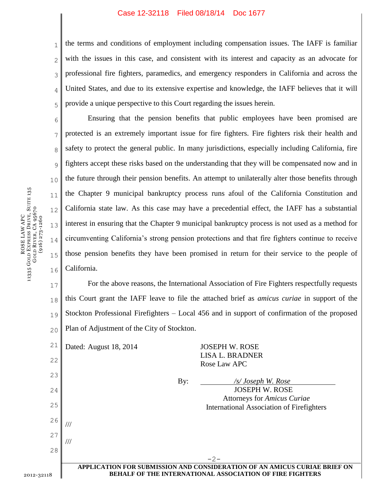## Case 12-32118 Filed 08/18/14 Doc 1677

ROSE LAW APC<br>vergs Drive 11335 GOLD EXPRESS DRIVE, SUITE 135 GOLD RIVER, CA 95670 (916) 273-1260 7

8

9

10

11

12

13

14

15

16

1 2 3 4 5 the terms and conditions of employment including compensation issues. The IAFF is familiar with the issues in this case, and consistent with its interest and capacity as an advocate for professional fire fighters, paramedics, and emergency responders in California and across the United States, and due to its extensive expertise and knowledge, the IAFF believes that it will provide a unique perspective to this Court regarding the issues herein.

6 Ensuring that the pension benefits that public employees have been promised are protected is an extremely important issue for fire fighters. Fire fighters risk their health and safety to protect the general public. In many jurisdictions, especially including California, fire fighters accept these risks based on the understanding that they will be compensated now and in the future through their pension benefits. An attempt to unilaterally alter those benefits through the Chapter 9 municipal bankruptcy process runs afoul of the California Constitution and California state law. As this case may have a precedential effect, the IAFF has a substantial interest in ensuring that the Chapter 9 municipal bankruptcy process is not used as a method for circumventing California's strong pension protections and that fire fighters continue to receive those pension benefits they have been promised in return for their service to the people of California.

17 18 19 20 For the above reasons, the International Association of Fire Fighters respectfully requests this Court grant the IAFF leave to file the attached brief as *amicus curiae* in support of the Stockton Professional Firefighters – Local 456 and in support of confirmation of the proposed Plan of Adjustment of the City of Stockton.

| 21                                                                                                                                                         | Dated: August 18, 2014 | <b>JOSEPH W. ROSE</b>                                                                  |
|------------------------------------------------------------------------------------------------------------------------------------------------------------|------------------------|----------------------------------------------------------------------------------------|
| 22                                                                                                                                                         |                        | <b>LISA L. BRADNER</b><br>Rose Law APC                                                 |
| 23                                                                                                                                                         | By:                    | /s/ Joseph W. Rose                                                                     |
| 24                                                                                                                                                         |                        | <b>JOSEPH W. ROSE</b>                                                                  |
| 25                                                                                                                                                         |                        | <b>Attorneys for Amicus Curiae</b><br><b>International Association of Firefighters</b> |
| 26                                                                                                                                                         | 11                     |                                                                                        |
| 27                                                                                                                                                         | ///                    |                                                                                        |
| 28                                                                                                                                                         |                        | $-2-$                                                                                  |
| APPLICATION FOR SUBMISSION AND CONSIDERATION OF AN AMICUS CURIAE BRIEF ON<br><b>BEHALF OF THE INTERNATIONAL ASSOCIATION OF FIRE FIGHTERS</b><br>2012-32118 |                        |                                                                                        |